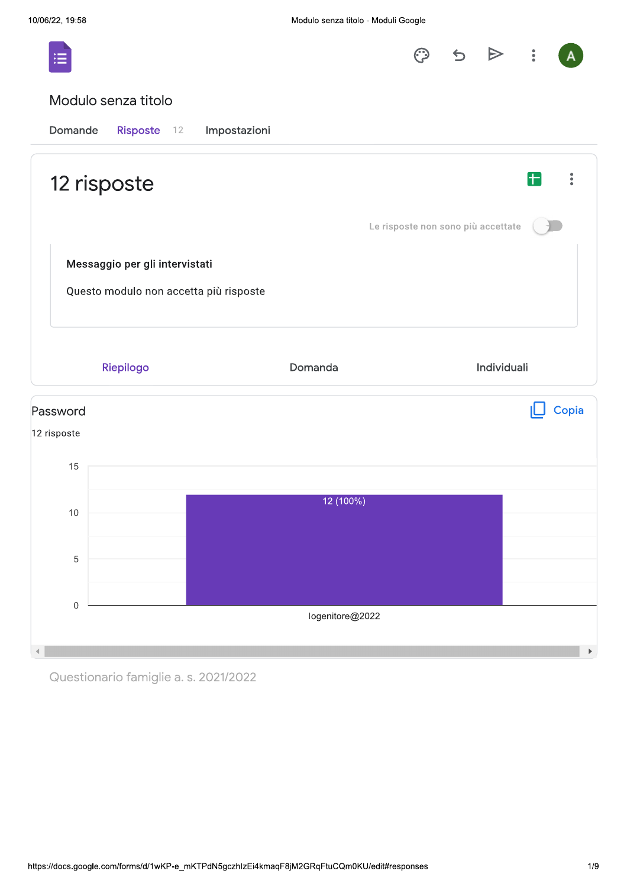

Questionario famiglie a. s. 2021/2022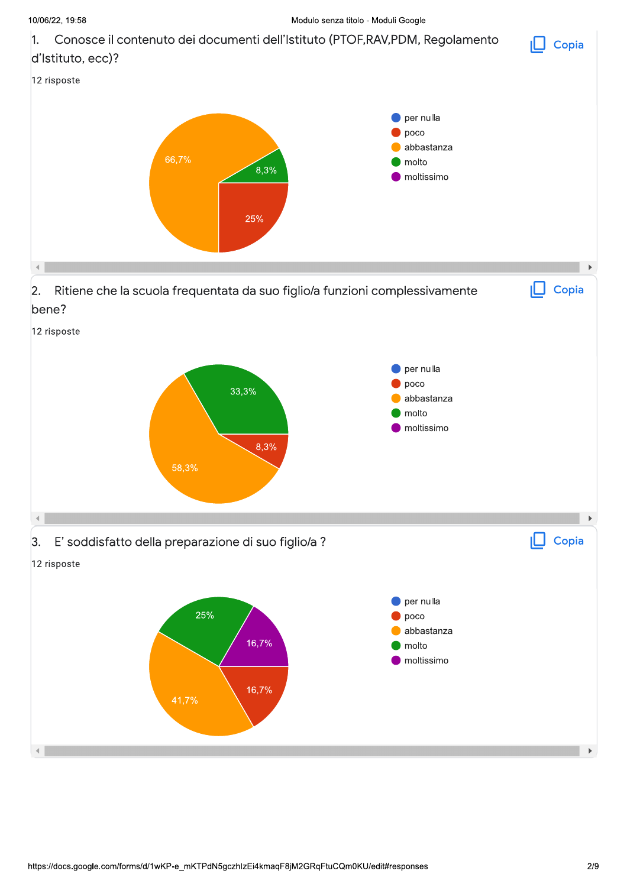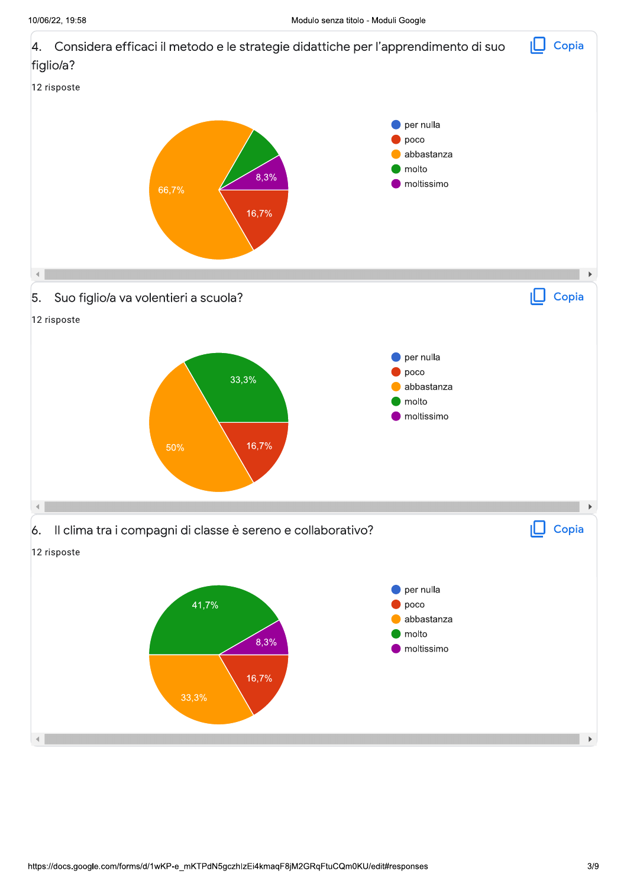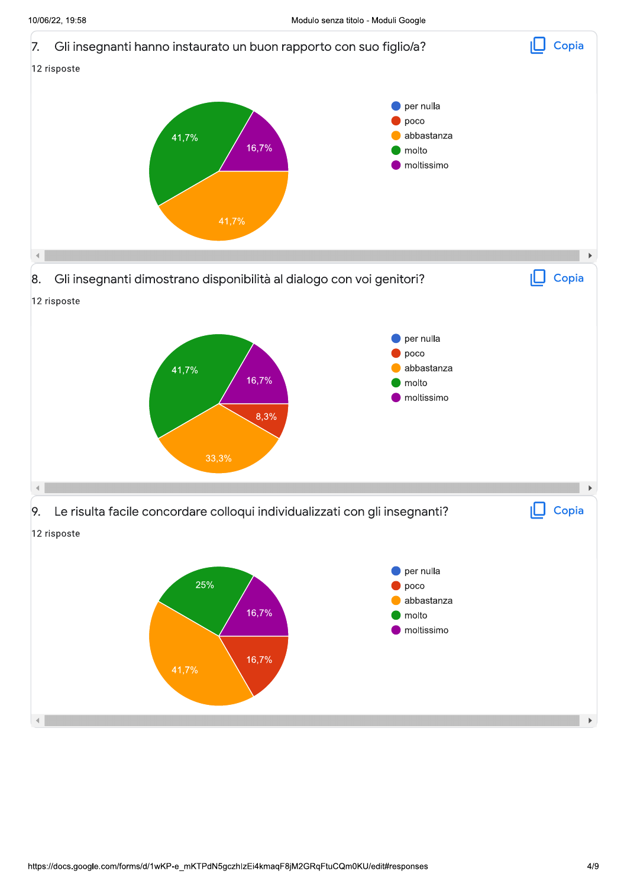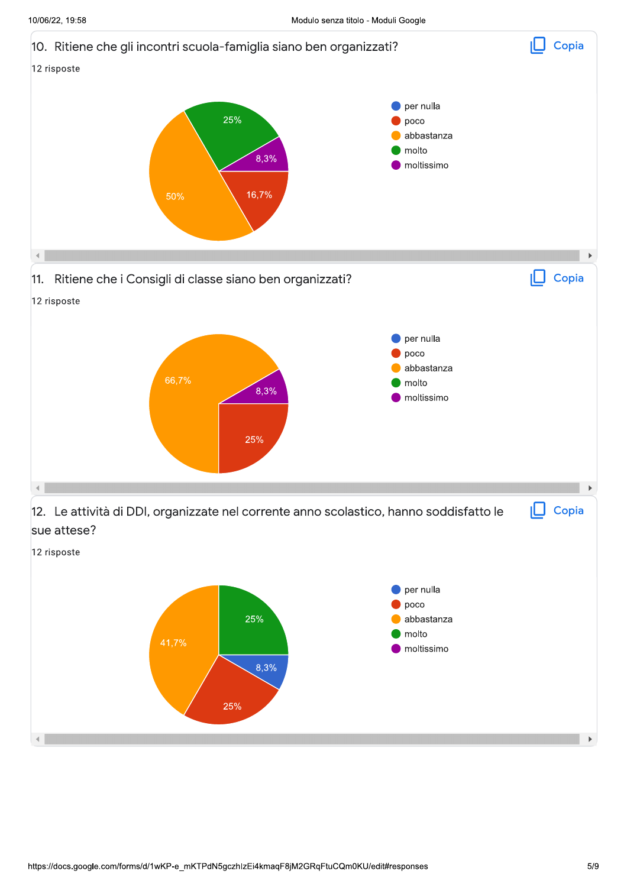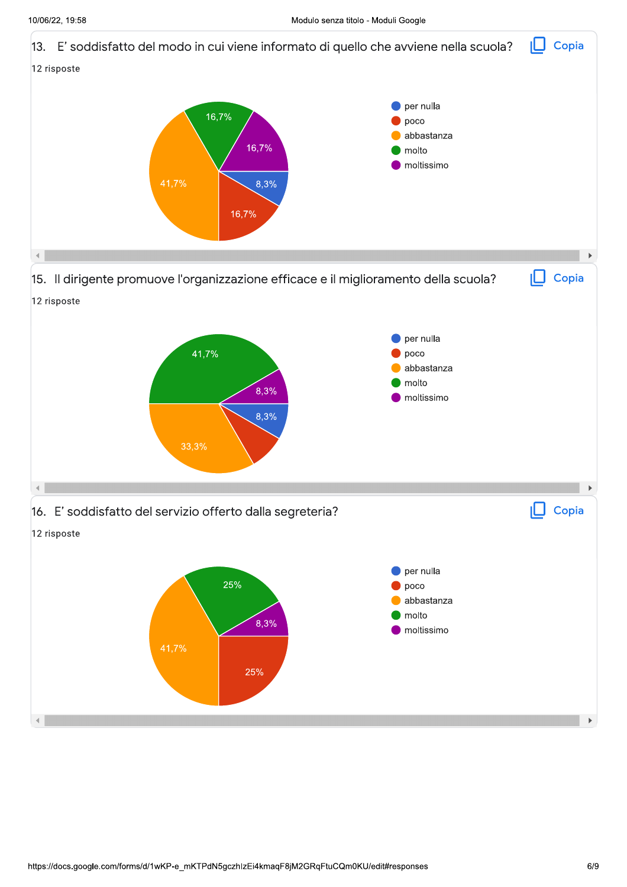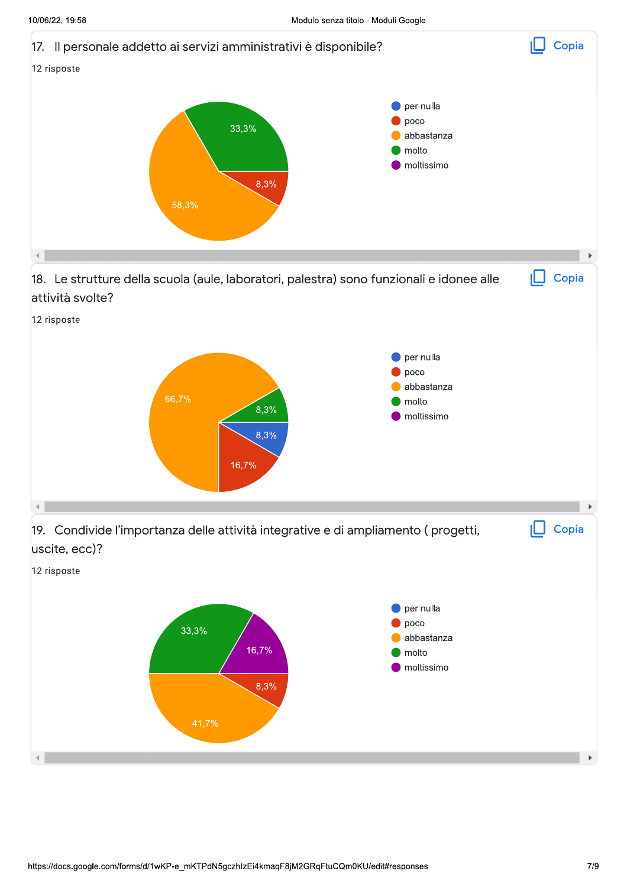